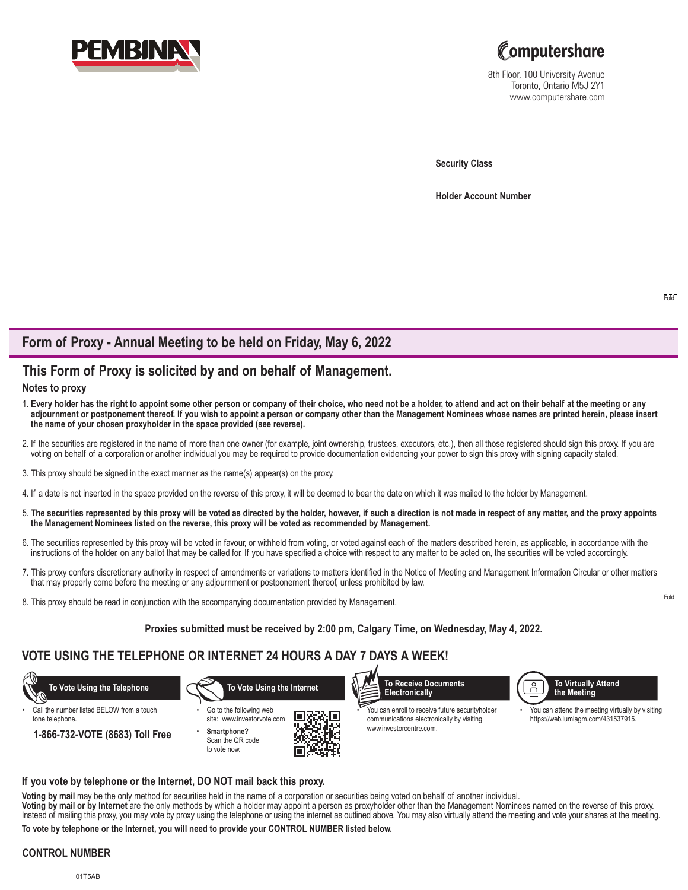



8th Floor, 100 University Avenue Toronto, Ontario M5J 2Y1 www.computershare.com

**Security Class**

**Holder Account Number** 

# **Form of Proxy - Annual Meeting to be held on Friday, May 6, 2022**

# **This Form of Proxy is solicited by and on behalf of Management.**

## **Notes to proxy**

- 1. **Every holder has the right to appoint some other person or company of their choice, who need not be a holder, to attend and act on their behalf at the meeting or any adjournment or postponement thereof. If you wish to appoint a person or company other than the Management Nominees whose names are printed herein, please insert the name of your chosen proxyholder in the space provided (see reverse).**
- 2. If the securities are registered in the name of more than one owner (for example, joint ownership, trustees, executors, etc.), then all those registered should sign this proxy. If you are voting on behalf of a corporation or another individual you may be required to provide documentation evidencing your power to sign this proxy with signing capacity stated.
- 3. This proxy should be signed in the exact manner as the name(s) appear(s) on the proxy.
- 4. If a date is not inserted in the space provided on the reverse of this proxy, it will be deemed to bear the date on which it was mailed to the holder by Management.
- 5. **The securities represented by this proxy will be voted as directed by the holder, however, if such a direction is not made in respect of any matter, and the proxy appoints the Management Nominees listed on the reverse, this proxy will be voted as recommended by Management.**
- 6. The securities represented by this proxy will be voted in favour, or withheld from voting, or voted against each of the matters described herein, as applicable, in accordance with the instructions of the holder, on any ballot that may be called for. If you have specified a choice with respect to any matter to be acted on, the securities will be voted accordingly.
- 7. This proxy confers discretionary authority in respect of amendments or variations to matters identified in the Notice of Meeting and Management Information Circular or other matters that may properly come before the meeting or any adjournment or postponement thereof, unless prohibited by law.
- 8. This proxy should be read in conjunction with the accompanying documentation provided by Management.

### **Proxies submitted must be received by 2:00 pm, Calgary Time, on Wednesday, May 4, 2022.**

# **VOTE USING THE TELEPHONE OR INTERNET 24 HOURS A DAY 7 DAYS A WEEK!**



### **If you vote by telephone or the Internet, DO NOT mail back this proxy.**

**Voting by mail** may be the only method for securities held in the name of a corporation or securities being voted on behalf of another individual. **Voting by mail or by Internet** are the only methods by which a holder may appoint a person as proxyholder other than the Management Nominees named on the reverse of this proxy. Instead of mailing this proxy, you may vote by proxy using the telephone or using the internet as outlined above. You may also virtually attend the meeting and vote your shares at the meeting.

**To vote by telephone or the Internet, you will need to provide your CONTROL NUMBER listed below.**

#### **CONTROL NUMBER**